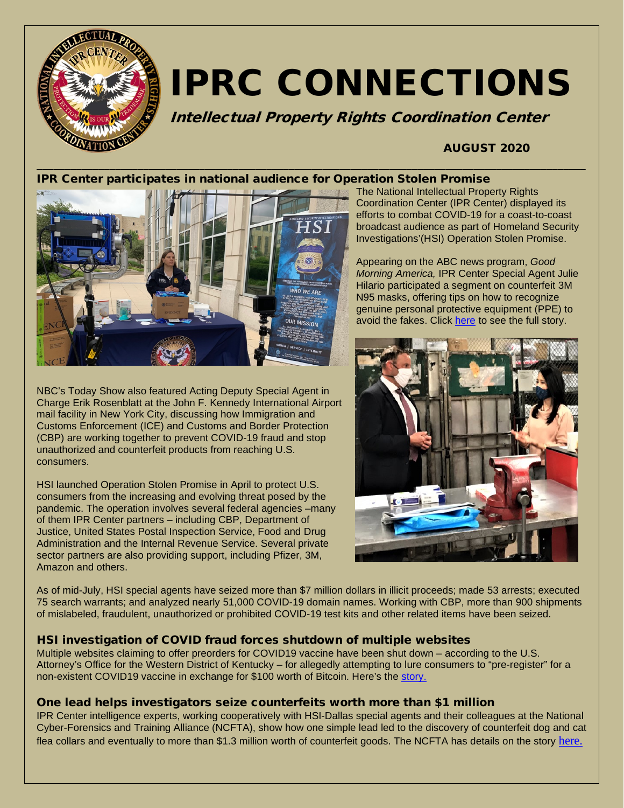

# IPRC CONNECTIONS

Intellectual Property Rights Coordination Center

## AUGUST 2020

## IPR Center participates in national audience for Operation Stolen Promise



NBC's Today Show also featured Acting Deputy Special Agent in Charge Erik Rosenblatt at the John F. Kennedy International Airport mail facility in New York City, discussing how Immigration and Customs Enforcement (ICE) and Customs and Border Protection (CBP) are working together to prevent COVID-19 fraud and stop unauthorized and counterfeit products from reaching U.S. consumers.

HSI launched Operation Stolen Promise in April to protect U.S. consumers from the increasing and evolving threat posed by the pandemic. The operation involves several federal agencies –many of them IPR Center partners – including CBP, Department of Justice, United States Postal Inspection Service, Food and Drug Administration and the Internal Revenue Service. Several private sector partners are also providing support, including Pfizer, 3M, Amazon and others.

The National Intellectual Property Rights Coordination Center (IPR Center) displayed its efforts to combat COVID-19 for a coast-to-coast broadcast audience as part of Homeland Security Investigations'(HSI) Operation Stolen Promise.

Appearing on the ABC news program, *Good Morning America,* IPR Center Special Agent Julie Hilario participated a segment on counterfeit 3M N95 masks, offering tips on how to recognize genuine personal protective equipment (PPE) to avoid the fakes. Click [here](https://abcnews.go.com/GMA/News/video/warning-counterfeit-face-masks-71837474) to see the full story.



As of mid-July, HSI special agents have seized more than \$7 million dollars in illicit proceeds; made 53 arrests; executed 75 search warrants; and analyzed nearly 51,000 COVID-19 domain names. Working with CBP, more than 900 shipments of mislabeled, fraudulent, unauthorized or prohibited COVID-19 test kits and other related items have been seized.

## HSI investigation of COVID fraud forces shutdown of multiple websites

Multiple websites claiming to offer preorders for COVID19 vaccine have been shut down – according to the U.S. Attorney's Office for the Western District of Kentucky – for allegedly attempting to lure consumers to "pre-register" for a non-existent COVID19 vaccine in exchange for \$100 worth of Bitcoin. Here's the [story.](https://www.justice.gov/usao-wdky/pr/us-attorney-s-office-shuts-down-multiple-websites-claiming-offer-preorders-covid-19)

#### One lead helps investigators seize counterfeits worth more than \$1 million

IPR Center intelligence experts, working cooperatively with HSI-Dallas special agents and their colleagues at the National Cyber-Forensics and Training Alliance (NCFTA), show how one simple lead led to the discovery of counterfeit dog and cat flea collars and eventually to more than \$1.3 million worth of counterfeit goods. The NCFTA has details on the story [here.](https://www.ncfta.net/ipr-center-reveals-how-one-lead-can-be-worth-a-million-dollars/)